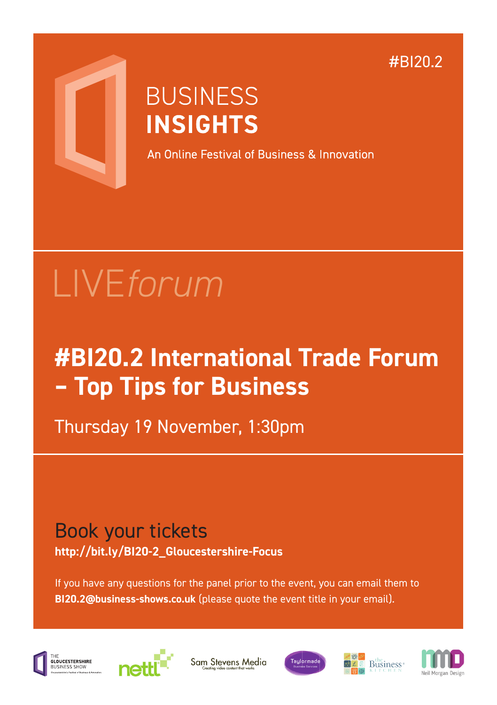#BI20.2



## **BUSINESS INSIGHTS**

An Online Festival of Business & Innovation

# LIVE*forum*

## **#BI20.2 International Trade Forum – Top Tips for Business**

Thursday 19 November, 1:30pm

### Book your tickets **http://bit.ly/BI20-2\_Gloucestershire-Focus**

If you have any questions for the panel prior to the event, you can email them to **BI20.2@business-shows.co.uk** (please quote the event title in your email).



...<br>GLOUCESTERSHIRE



Sam Stevens Media